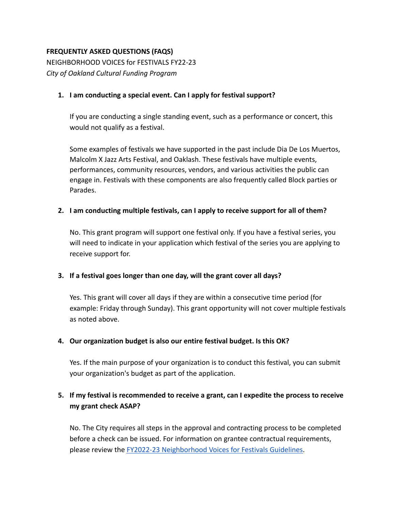## **FREQUENTLY ASKED QUESTIONS (FAQS)**

NEIGHBORHOOD VOICES for FESTIVALS FY22-23 *City of Oakland Cultural Funding Program*

## **1. I am conducting a special event. Can I apply for festival support?**

If you are conducting a single standing event, such as a performance or concert, this would not qualify as a festival.

Some examples of festivals we have supported in the past include Dia De Los Muertos, Malcolm X Jazz Arts Festival, and Oaklash. These festivals have multiple events, performances, community resources, vendors, and various activities the public can engage in. Festivals with these components are also frequently called Block parties or Parades.

## **2. I am conducting multiple festivals, can I apply to receive support for all of them?**

No. This grant program will support one festival only. If you have a festival series, you will need to indicate in your application which festival of the series you are applying to receive support for.

#### **3. If a festival goes longer than one day, will the grant cover all days?**

Yes. This grant will cover all days if they are within a consecutive time period (for example: Friday through Sunday). This grant opportunity will not cover multiple festivals as noted above.

#### **4. Our organization budget is also our entire festival budget. Is this OK?**

Yes. If the main purpose of your organization is to conduct this festival, you can submit your organization's budget as part of the application.

## **5. If my festival is recommended to receive a grant, can I expedite the process to receive my grant check ASAP?**

No. The City requires all steps in the approval and contracting process to be completed before a check can be issued. For information on grantee contractual requirements, please review the [FY2022-23 Neighborhood Voices for](https://cao-94612.s3.amazonaws.com/documents/FY22-23_Festival-Guidelines_5-16-22.pdf) Festivals Guidelines.